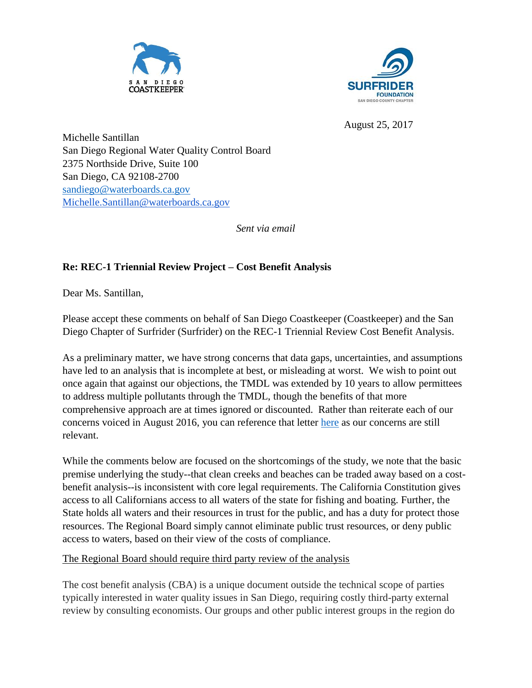



August 25, 2017

Michelle Santillan San Diego Regional Water Quality Control Board 2375 Northside Drive, Suite 100 San Diego, CA 92108-2700 [sandiego@waterboards.ca.gov](mailto:sandiego@waterboards.ca.gov) [Michelle.Santillan@waterboards.ca.gov](mailto:Michelle.Santillan@waterboards.ca.gov)

*Sent via email*

# **Re: REC-1 Triennial Review Project – Cost Benefit Analysis**

Dear Ms. Santillan,

Please accept these comments on behalf of San Diego Coastkeeper (Coastkeeper) and the San Diego Chapter of Surfrider (Surfrider) on the REC-1 Triennial Review Cost Benefit Analysis.

As a preliminary matter, we have strong concerns that data gaps, uncertainties, and assumptions have led to an analysis that is incomplete at best, or misleading at worst. We wish to point out once again that against our objections, the TMDL was extended by 10 years to allow permittees to address multiple pollutants through the TMDL, though the benefits of that more comprehensive approach are at times ignored or discounted. Rather than reiterate each of our concerns voiced in August 2016, you can reference that letter [here](http://www.waterboards.ca.gov/sandiego/water_issues/programs/basin_plan/docs/Comment_Letter.pdf) as our concerns are still relevant.

While the comments below are focused on the shortcomings of the study, we note that the basic premise underlying the study--that clean creeks and beaches can be traded away based on a costbenefit analysis--is inconsistent with core legal requirements. The California Constitution gives access to all Californians access to all waters of the state for fishing and boating. Further, the State holds all waters and their resources in trust for the public, and has a duty for protect those resources. The Regional Board simply cannot eliminate public trust resources, or deny public access to waters, based on their view of the costs of compliance.

The Regional Board should require third party review of the analysis

The cost benefit analysis (CBA) is a unique document outside the technical scope of parties typically interested in water quality issues in San Diego, requiring costly third-party external review by consulting economists. Our groups and other public interest groups in the region do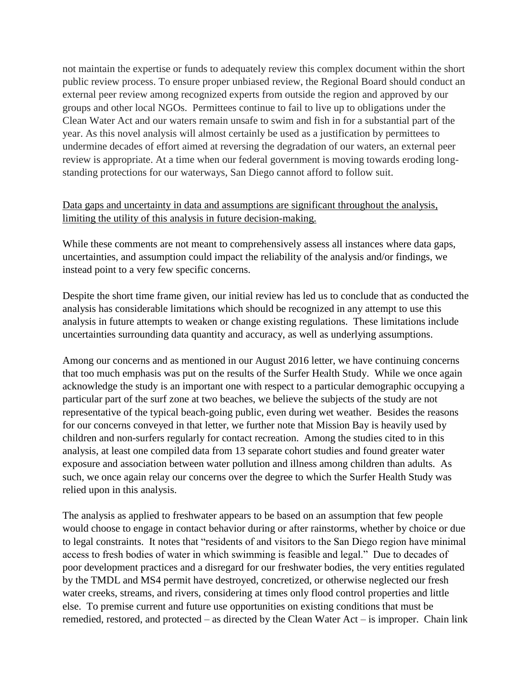not maintain the expertise or funds to adequately review this complex document within the short public review process. To ensure proper unbiased review, the Regional Board should conduct an external peer review among recognized experts from outside the region and approved by our groups and other local NGOs. Permittees continue to fail to live up to obligations under the Clean Water Act and our waters remain unsafe to swim and fish in for a substantial part of the year. As this novel analysis will almost certainly be used as a justification by permittees to undermine decades of effort aimed at reversing the degradation of our waters, an external peer review is appropriate. At a time when our federal government is moving towards eroding longstanding protections for our waterways, San Diego cannot afford to follow suit.

## Data gaps and uncertainty in data and assumptions are significant throughout the analysis, limiting the utility of this analysis in future decision-making.

While these comments are not meant to comprehensively assess all instances where data gaps, uncertainties, and assumption could impact the reliability of the analysis and/or findings, we instead point to a very few specific concerns.

Despite the short time frame given, our initial review has led us to conclude that as conducted the analysis has considerable limitations which should be recognized in any attempt to use this analysis in future attempts to weaken or change existing regulations. These limitations include uncertainties surrounding data quantity and accuracy, as well as underlying assumptions.

Among our concerns and as mentioned in our August 2016 letter, we have continuing concerns that too much emphasis was put on the results of the Surfer Health Study. While we once again acknowledge the study is an important one with respect to a particular demographic occupying a particular part of the surf zone at two beaches, we believe the subjects of the study are not representative of the typical beach-going public, even during wet weather. Besides the reasons for our concerns conveyed in that letter, we further note that Mission Bay is heavily used by children and non-surfers regularly for contact recreation. Among the studies cited to in this analysis, at least one compiled data from 13 separate cohort studies and found greater water exposure and association between water pollution and illness among children than adults. As such, we once again relay our concerns over the degree to which the Surfer Health Study was relied upon in this analysis.

The analysis as applied to freshwater appears to be based on an assumption that few people would choose to engage in contact behavior during or after rainstorms, whether by choice or due to legal constraints. It notes that "residents of and visitors to the San Diego region have minimal access to fresh bodies of water in which swimming is feasible and legal." Due to decades of poor development practices and a disregard for our freshwater bodies, the very entities regulated by the TMDL and MS4 permit have destroyed, concretized, or otherwise neglected our fresh water creeks, streams, and rivers, considering at times only flood control properties and little else. To premise current and future use opportunities on existing conditions that must be remedied, restored, and protected – as directed by the Clean Water Act – is improper. Chain link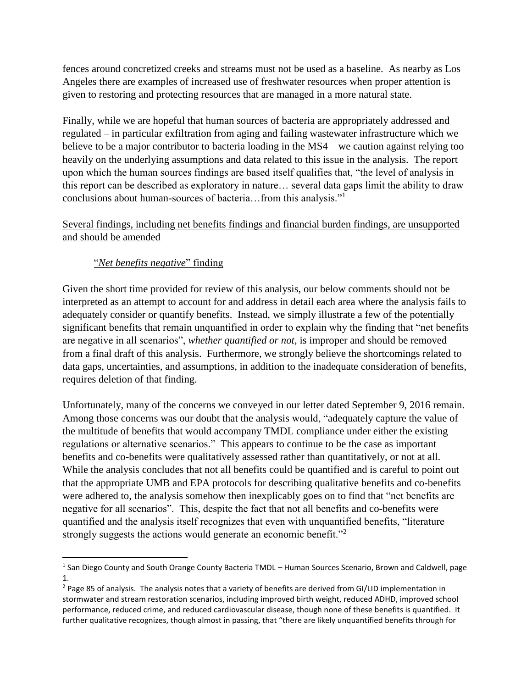fences around concretized creeks and streams must not be used as a baseline. As nearby as Los Angeles there are examples of increased use of freshwater resources when proper attention is given to restoring and protecting resources that are managed in a more natural state.

Finally, while we are hopeful that human sources of bacteria are appropriately addressed and regulated – in particular exfiltration from aging and failing wastewater infrastructure which we believe to be a major contributor to bacteria loading in the MS4 – we caution against relying too heavily on the underlying assumptions and data related to this issue in the analysis. The report upon which the human sources findings are based itself qualifies that, "the level of analysis in this report can be described as exploratory in nature… several data gaps limit the ability to draw conclusions about human-sources of bacteria…from this analysis."<sup>1</sup>

## Several findings, including net benefits findings and financial burden findings, are unsupported and should be amended

# "*Net benefits negative*" finding

Given the short time provided for review of this analysis, our below comments should not be interpreted as an attempt to account for and address in detail each area where the analysis fails to adequately consider or quantify benefits. Instead, we simply illustrate a few of the potentially significant benefits that remain unquantified in order to explain why the finding that "net benefits are negative in all scenarios", *whether quantified or not*, is improper and should be removed from a final draft of this analysis. Furthermore, we strongly believe the shortcomings related to data gaps, uncertainties, and assumptions, in addition to the inadequate consideration of benefits, requires deletion of that finding.

Unfortunately, many of the concerns we conveyed in our letter dated September 9, 2016 remain. Among those concerns was our doubt that the analysis would, "adequately capture the value of the multitude of benefits that would accompany TMDL compliance under either the existing regulations or alternative scenarios." This appears to continue to be the case as important benefits and co-benefits were qualitatively assessed rather than quantitatively, or not at all. While the analysis concludes that not all benefits could be quantified and is careful to point out that the appropriate UMB and EPA protocols for describing qualitative benefits and co-benefits were adhered to, the analysis somehow then inexplicably goes on to find that "net benefits are negative for all scenarios". This, despite the fact that not all benefits and co-benefits were quantified and the analysis itself recognizes that even with unquantified benefits, "literature strongly suggests the actions would generate an economic benefit."<sup>2</sup>

l <sup>1</sup> San Diego County and South Orange County Bacteria TMDL – Human Sources Scenario, Brown and Caldwell, page 1.

<sup>&</sup>lt;sup>2</sup> Page 85 of analysis. The analysis notes that a variety of benefits are derived from GI/LID implementation in stormwater and stream restoration scenarios, including improved birth weight, reduced ADHD, improved school performance, reduced crime, and reduced cardiovascular disease, though none of these benefits is quantified. It further qualitative recognizes, though almost in passing, that "there are likely unquantified benefits through for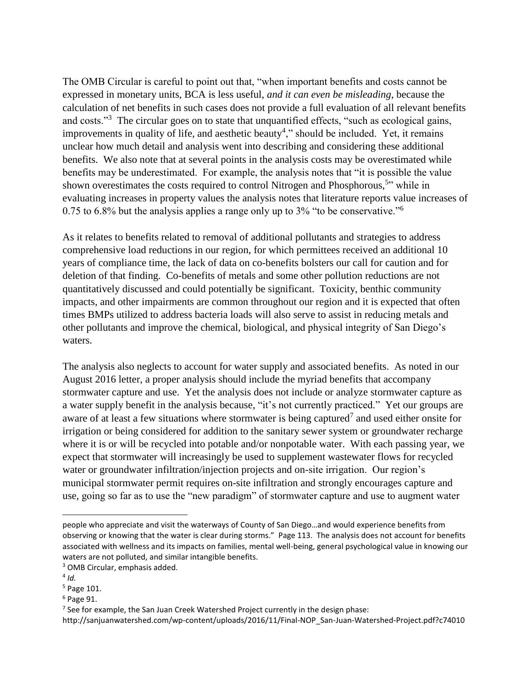The OMB Circular is careful to point out that, "when important benefits and costs cannot be expressed in monetary units, BCA is less useful, *and it can even be misleading*, because the calculation of net benefits in such cases does not provide a full evaluation of all relevant benefits and costs."<sup>3</sup> The circular goes on to state that unquantified effects, "such as ecological gains, improvements in quality of life, and aesthetic beauty<sup>4</sup>," should be included. Yet, it remains unclear how much detail and analysis went into describing and considering these additional benefits. We also note that at several points in the analysis costs may be overestimated while benefits may be underestimated. For example, the analysis notes that "it is possible the value shown overestimates the costs required to control Nitrogen and Phosphorous,<sup>5</sup>" while in evaluating increases in property values the analysis notes that literature reports value increases of 0.75 to 6.8% but the analysis applies a range only up to 3% "to be conservative."<sup>6</sup>

As it relates to benefits related to removal of additional pollutants and strategies to address comprehensive load reductions in our region, for which permittees received an additional 10 years of compliance time, the lack of data on co-benefits bolsters our call for caution and for deletion of that finding. Co-benefits of metals and some other pollution reductions are not quantitatively discussed and could potentially be significant. Toxicity, benthic community impacts, and other impairments are common throughout our region and it is expected that often times BMPs utilized to address bacteria loads will also serve to assist in reducing metals and other pollutants and improve the chemical, biological, and physical integrity of San Diego's waters.

The analysis also neglects to account for water supply and associated benefits. As noted in our August 2016 letter, a proper analysis should include the myriad benefits that accompany stormwater capture and use. Yet the analysis does not include or analyze stormwater capture as a water supply benefit in the analysis because, "it's not currently practiced." Yet our groups are aware of at least a few situations where stormwater is being captured<sup>7</sup> and used either onsite for irrigation or being considered for addition to the sanitary sewer system or groundwater recharge where it is or will be recycled into potable and/or nonpotable water. With each passing year, we expect that stormwater will increasingly be used to supplement wastewater flows for recycled water or groundwater infiltration/injection projects and on-site irrigation. Our region's municipal stormwater permit requires on-site infiltration and strongly encourages capture and use, going so far as to use the "new paradigm" of stormwater capture and use to augment water

 $\overline{a}$ 

 $6$  Page 91.

people who appreciate and visit the waterways of County of San Diego…and would experience benefits from observing or knowing that the water is clear during storms." Page 113. The analysis does not account for benefits associated with wellness and its impacts on families, mental well-being, general psychological value in knowing our waters are not polluted, and similar intangible benefits.

<sup>3</sup> OMB Circular, emphasis added.

<sup>4</sup> *Id.*

<sup>5</sup> Page 101.

 $7$  See for example, the San Juan Creek Watershed Project currently in the design phase:

http://sanjuanwatershed.com/wp-content/uploads/2016/11/Final-NOP\_San-Juan-Watershed-Project.pdf?c74010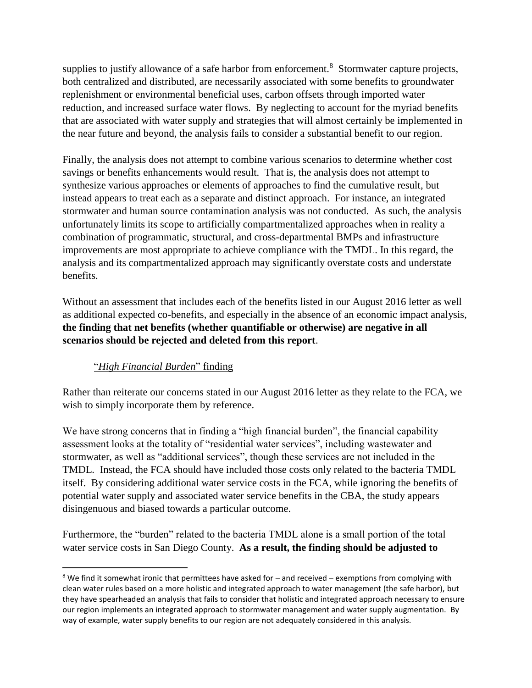supplies to justify allowance of a safe harbor from enforcement.<sup>8</sup> Stormwater capture projects, both centralized and distributed, are necessarily associated with some benefits to groundwater replenishment or environmental beneficial uses, carbon offsets through imported water reduction, and increased surface water flows. By neglecting to account for the myriad benefits that are associated with water supply and strategies that will almost certainly be implemented in the near future and beyond, the analysis fails to consider a substantial benefit to our region.

Finally, the analysis does not attempt to combine various scenarios to determine whether cost savings or benefits enhancements would result. That is, the analysis does not attempt to synthesize various approaches or elements of approaches to find the cumulative result, but instead appears to treat each as a separate and distinct approach. For instance, an integrated stormwater and human source contamination analysis was not conducted. As such, the analysis unfortunately limits its scope to artificially compartmentalized approaches when in reality a combination of programmatic, structural, and cross-departmental BMPs and infrastructure improvements are most appropriate to achieve compliance with the TMDL. In this regard, the analysis and its compartmentalized approach may significantly overstate costs and understate benefits.

Without an assessment that includes each of the benefits listed in our August 2016 letter as well as additional expected co-benefits, and especially in the absence of an economic impact analysis, **the finding that net benefits (whether quantifiable or otherwise) are negative in all scenarios should be rejected and deleted from this report**.

## "*High Financial Burden*" finding

 $\overline{\phantom{a}}$ 

Rather than reiterate our concerns stated in our August 2016 letter as they relate to the FCA, we wish to simply incorporate them by reference.

We have strong concerns that in finding a "high financial burden", the financial capability assessment looks at the totality of "residential water services", including wastewater and stormwater, as well as "additional services", though these services are not included in the TMDL. Instead, the FCA should have included those costs only related to the bacteria TMDL itself. By considering additional water service costs in the FCA, while ignoring the benefits of potential water supply and associated water service benefits in the CBA, the study appears disingenuous and biased towards a particular outcome.

Furthermore, the "burden" related to the bacteria TMDL alone is a small portion of the total water service costs in San Diego County. **As a result, the finding should be adjusted to** 

 $8$  We find it somewhat ironic that permittees have asked for  $-$  and received  $-$  exemptions from complying with clean water rules based on a more holistic and integrated approach to water management (the safe harbor), but they have spearheaded an analysis that fails to consider that holistic and integrated approach necessary to ensure our region implements an integrated approach to stormwater management and water supply augmentation. By way of example, water supply benefits to our region are not adequately considered in this analysis.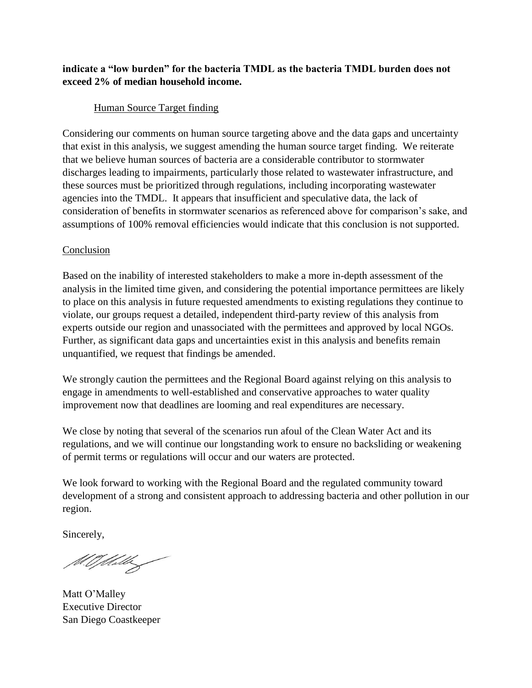## **indicate a "low burden" for the bacteria TMDL as the bacteria TMDL burden does not exceed 2% of median household income.**

## Human Source Target finding

Considering our comments on human source targeting above and the data gaps and uncertainty that exist in this analysis, we suggest amending the human source target finding. We reiterate that we believe human sources of bacteria are a considerable contributor to stormwater discharges leading to impairments, particularly those related to wastewater infrastructure, and these sources must be prioritized through regulations, including incorporating wastewater agencies into the TMDL. It appears that insufficient and speculative data, the lack of consideration of benefits in stormwater scenarios as referenced above for comparison's sake, and assumptions of 100% removal efficiencies would indicate that this conclusion is not supported.

#### Conclusion

Based on the inability of interested stakeholders to make a more in-depth assessment of the analysis in the limited time given, and considering the potential importance permittees are likely to place on this analysis in future requested amendments to existing regulations they continue to violate, our groups request a detailed, independent third-party review of this analysis from experts outside our region and unassociated with the permittees and approved by local NGOs. Further, as significant data gaps and uncertainties exist in this analysis and benefits remain unquantified, we request that findings be amended.

We strongly caution the permittees and the Regional Board against relying on this analysis to engage in amendments to well-established and conservative approaches to water quality improvement now that deadlines are looming and real expenditures are necessary.

We close by noting that several of the scenarios run afoul of the Clean Water Act and its regulations, and we will continue our longstanding work to ensure no backsliding or weakening of permit terms or regulations will occur and our waters are protected.

We look forward to working with the Regional Board and the regulated community toward development of a strong and consistent approach to addressing bacteria and other pollution in our region.

Sincerely,

M.O.M.M

Matt O'Malley Executive Director San Diego Coastkeeper